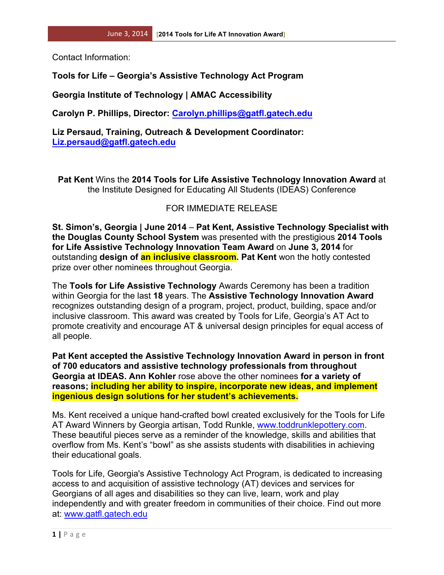Contact Information:

## **Tools for Life – Georgia's Assistive Technology Act Program**

**Georgia Institute of Technology | AMAC Accessibility**

**Carolyn P. Phillips, Director: Carolyn.phillips@gatfl.gatech.edu**

**Liz Persaud, Training, Outreach & Development Coordinator: Liz.persaud@gatfl.gatech.edu**

**Pat Kent** Wins the **2014 Tools for Life Assistive Technology Innovation Award** at the Institute Designed for Educating All Students (IDEAS) Conference

## FOR IMMEDIATE RELEASE

**St. Simon's, Georgia | June 2014** – **Pat Kent, Assistive Technology Specialist with the Douglas County School System** was presented with the prestigious **2014 Tools for Life Assistive Technology Innovation Team Award** on **June 3, 2014** for outstanding **design of an inclusive classroom. Pat Kent** won the hotly contested prize over other nominees throughout Georgia.

The **Tools for Life Assistive Technology** Awards Ceremony has been a tradition within Georgia for the last **18** years. The **Assistive Technology Innovation Award** recognizes outstanding design of a program, project, product, building, space and/or inclusive classroom. This award was created by Tools for Life, Georgia's AT Act to promote creativity and encourage AT & universal design principles for equal access of all people.

**Pat Kent accepted the Assistive Technology Innovation Award in person in front of 700 educators and assistive technology professionals from throughout Georgia at IDEAS. Ann Kohler** rose above the other nominees **for a variety of reasons; including her ability to inspire, incorporate new ideas, and implement ingenious design solutions for her student's achievements.**

Ms. Kent received a unique hand-crafted bowl created exclusively for the Tools for Life AT Award Winners by Georgia artisan, Todd Runkle, www.toddrunklepottery.com. These beautiful pieces serve as a reminder of the knowledge, skills and abilities that overflow from Ms. Kent's "bowl" as she assists students with disabilities in achieving their educational goals.

Tools for Life, Georgia's Assistive Technology Act Program, is dedicated to increasing access to and acquisition of assistive technology (AT) devices and services for Georgians of all ages and disabilities so they can live, learn, work and play independently and with greater freedom in communities of their choice. Find out more at: www.gatfl.gatech.edu